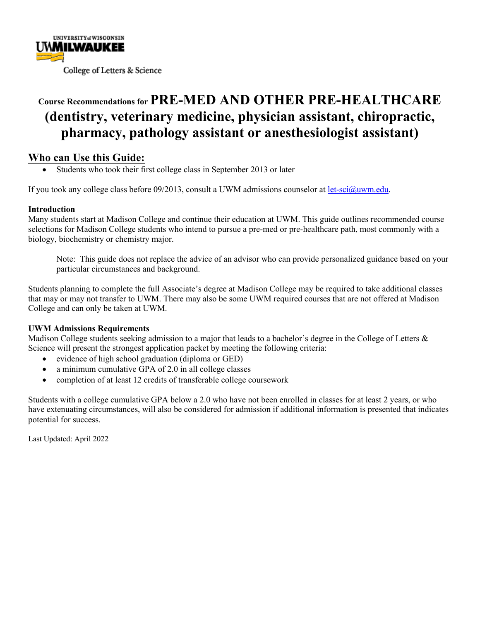

# **Course Recommendations for PRE-MED AND OTHER PRE-HEALTHCARE (dentistry, veterinary medicine, physician assistant, chiropractic, pharmacy, pathology assistant or anesthesiologist assistant)**

#### **Who can Use this Guide:**

• Students who took their first college class in September 2013 or later

If you took any college class before 09/2013, consult a UWM admissions counselor at let-sci@uwm.edu.

#### **Introduction**

Many students start at Madison College and continue their education at UWM. This guide outlines recommended course selections for Madison College students who intend to pursue a pre-med or pre-healthcare path, most commonly with a biology, biochemistry or chemistry major.

Note: This guide does not replace the advice of an advisor who can provide personalized guidance based on your particular circumstances and background.

Students planning to complete the full Associate's degree at Madison College may be required to take additional classes that may or may not transfer to UWM. There may also be some UWM required courses that are not offered at Madison College and can only be taken at UWM.

#### **UWM Admissions Requirements**

Madison College students seeking admission to a major that leads to a bachelor's degree in the College of Letters & Science will present the strongest application packet by meeting the following criteria:

- evidence of high school graduation (diploma or GED)
- a minimum cumulative GPA of 2.0 in all college classes
- completion of at least 12 credits of transferable college coursework

Students with a college cumulative GPA below a 2.0 who have not been enrolled in classes for at least 2 years, or who have extenuating circumstances, will also be considered for admission if additional information is presented that indicates potential for success.

Last Updated: April 2022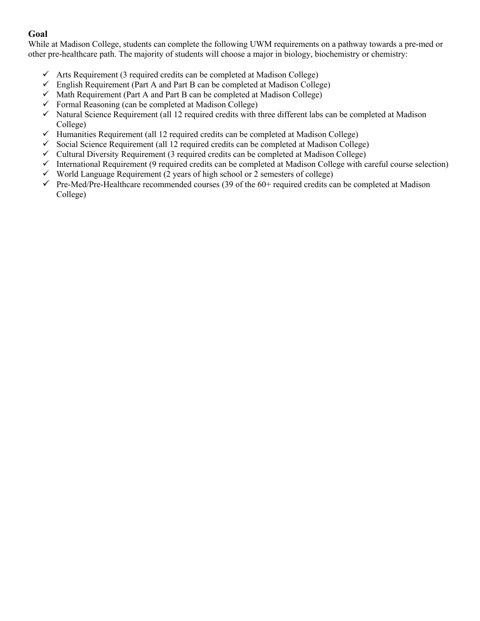#### **Goal**

While at Madison College, students can complete the following UWM requirements on a pathway towards a pre-med or other pre-healthcare path. The majority of students will choose a major in biology, biochemistry or chemistry:

- $\checkmark$  Arts Requirement (3 required credits can be completed at Madison College)
- $\checkmark$  English Requirement (Part A and Part B can be completed at Madison College)
- $\checkmark$  Math Requirement (Part A and Part B can be completed at Madison College)
- $\checkmark$  Formal Reasoning (can be completed at Madison College)
- $\checkmark$  Natural Science Requirement (all 12 required credits with three different labs can be completed at Madison College)
- $\checkmark$  Humanities Requirement (all 12 required credits can be completed at Madison College)
- $\checkmark$  Social Science Requirement (all 12 required credits can be completed at Madison College)
- $\checkmark$  Cultural Diversity Requirement (3 required credits can be completed at Madison College)
- $\checkmark$  International Requirement (9 required credits can be completed at Madison College with careful course selection)
- $\checkmark$  World Language Requirement (2 years of high school or 2 semesters of college)
- $\checkmark$  Pre-Med/Pre-Healthcare recommended courses (39 of the 60+ required credits can be completed at Madison College)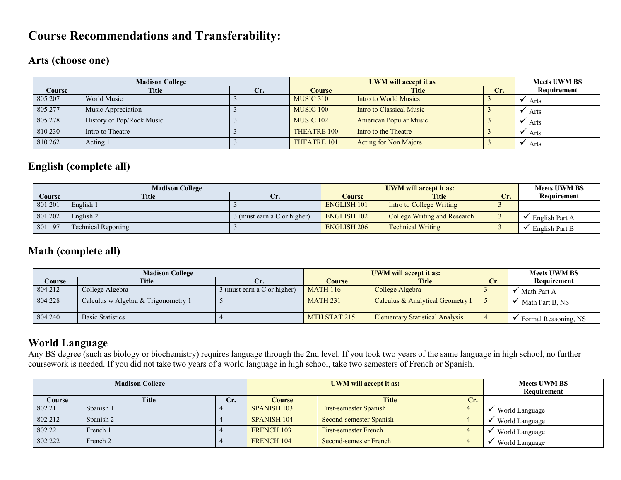## **Course Recommendations and Transferability:**

#### **Arts (choose one)**

|         | <b>Madison College</b>    |     |                      | <b>Meets UWM BS</b>           |     |             |
|---------|---------------------------|-----|----------------------|-------------------------------|-----|-------------|
| Course  | <b>Title</b>              | Cr. | Course               | <b>Title</b>                  | Cr. | Requirement |
| 805 207 | World Music               |     | MUSIC 310            | Intro to World Musics         |     | Arts        |
| 805 277 | Music Appreciation        |     | MUSIC 100            | Intro to Classical Music      |     | Arts        |
| 805 278 | History of Pop/Rock Music |     | MUSIC <sub>102</sub> | <b>American Popular Music</b> |     | Arts        |
| 810 230 | Intro to Theatre          |     | <b>THEATRE 100</b>   | Intro to the Theatre          |     | Arts        |
| 810 262 | Acting 1                  |     | THEATRE 101          | <b>Acting for Non Majors</b>  |     | Arts        |

### **English (complete all)**

|               | <b>Madison College</b>     |                             | UWM will accept it as: | <b>Meets UWM BS</b>                 |     |                |
|---------------|----------------------------|-----------------------------|------------------------|-------------------------------------|-----|----------------|
| <b>Course</b> | <b>Title</b>               | Ur.                         | <b>Course</b>          | <b>Title</b>                        | Cr. | Requirement    |
| 801 201       | English 1                  |                             | <b>ENGLISH 101</b>     | <b>Intro to College Writing</b>     |     |                |
| 801 202       | English 2                  | 3 (must earn a C or higher) | <b>ENGLISH 102</b>     | <b>College Writing and Research</b> |     | English Part A |
| 801 197       | <b>Technical Reporting</b> |                             | <b>ENGLISH 206</b>     | <b>Technical Writing</b>            |     | English Part B |

#### **Math (complete all)**

|         | <b>Madison College</b>              |                             |                 | <b>Meets UWM BS</b>                    |     |                      |
|---------|-------------------------------------|-----------------------------|-----------------|----------------------------------------|-----|----------------------|
| Course  | <b>Title</b>                        | U.                          | Course          | <b>Title</b>                           | Cr. | Requirement          |
| 804 212 | College Algebra                     | 3 (must earn a C or higher) | <b>MATH 116</b> | College Algebra                        |     | Math Part A          |
| 804 228 | Calculus w Algebra & Trigonometry 1 |                             | <b>MATH 231</b> | Calculus & Analytical Geometry I       |     | Math Part B, NS      |
| 804 240 | <b>Basic Statistics</b>             |                             | MTH STAT 215    | <b>Elementary Statistical Analysis</b> |     | Formal Reasoning, NS |

### **World Language**

Any BS degree (such as biology or biochemistry) requires language through the 2nd level. If you took two years of the same language in high school, no further coursework is needed. If you did not take two years of a world language in high school, take two semesters of French or Spanish.

| <b>Madison College</b> |              |     | <b>UWM</b> will accept it as: |                               |     | <b>Meets UWM BS</b><br>Requirement |
|------------------------|--------------|-----|-------------------------------|-------------------------------|-----|------------------------------------|
| <b>Course</b>          | <b>Title</b> | Cr. | <b>Course</b>                 | <b>Title</b>                  | Cr. |                                    |
| 802 211                | Spanish 1    |     | <b>SPANISH 103</b>            | <b>First-semester Spanish</b> |     | World Language                     |
| 802 212                | Spanish 2    |     | SPANISH 104                   | Second-semester Spanish       |     | World Language                     |
| 802 221                | French 1     |     | <b>FRENCH 103</b>             | <b>First-semester French</b>  |     | World Language                     |
| 802 222                | French 2     |     | <b>FRENCH 104</b>             | Second-semester French        |     | World Language                     |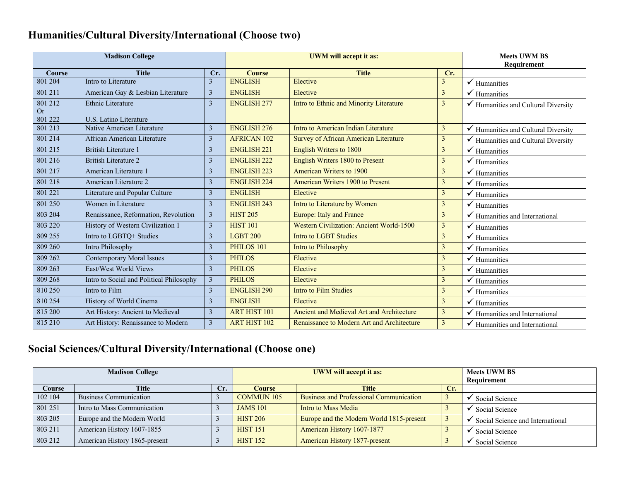# **Humanities/Cultural Diversity/International (Choose two)**

| <b>Madison College</b> |                                          |                | <b>UWM</b> will accept it as: |                                            |                | <b>Meets UWM BS</b>                            |
|------------------------|------------------------------------------|----------------|-------------------------------|--------------------------------------------|----------------|------------------------------------------------|
|                        |                                          |                |                               |                                            |                | Requirement                                    |
| Course                 | <b>Title</b>                             | Cr.            | <b>Course</b>                 | <b>Title</b>                               | Cr.            |                                                |
| 801 204                | Intro to Literature                      | $\overline{3}$ | <b>ENGLISH</b>                | Elective                                   | $\mathfrak{Z}$ | $\checkmark$ Humanities                        |
| 801 211                | American Gay & Lesbian Literature        | 3              | <b>ENGLISH</b>                | Elective                                   | $\mathfrak{Z}$ | $\checkmark$ Humanities                        |
| 801 212                | Ethnic Literature                        | $\overline{3}$ | <b>ENGLISH 277</b>            | Intro to Ethnic and Minority Literature    | $\mathfrak{Z}$ | Humanities and Cultural Diversity              |
| <b>Or</b><br>801 222   | U.S. Latino Literature                   |                |                               |                                            |                |                                                |
| 801 213                | Native American Literature               | $\overline{3}$ | <b>ENGLISH 276</b>            | Intro to American Indian Literature        | $\overline{3}$ | Humanities and Cultural Diversity              |
| 801 214                | African American Literature              | 3              | <b>AFRICAN 102</b>            | Survey of African American Literature      | $\mathfrak{Z}$ | $\checkmark$ Humanities and Cultural Diversity |
| 801 215                | <b>British Literature 1</b>              | 3              | <b>ENGLISH 221</b>            | English Writers to 1800                    | $\mathfrak{Z}$ |                                                |
|                        |                                          |                |                               |                                            |                | $\checkmark$ Humanities                        |
| 801 216                | <b>British Literature 2</b>              | 3              | <b>ENGLISH 222</b>            | English Writers 1800 to Present            | $\mathfrak{Z}$ | $\checkmark$ Humanities                        |
| 801 217                | American Literature 1                    | 3              | <b>ENGLISH 223</b>            | American Writers to 1900                   | $\mathfrak{Z}$ | $\checkmark$ Humanities                        |
| 801 218                | American Literature 2                    | 3              | <b>ENGLISH 224</b>            | American Writers 1900 to Present           | $\mathfrak{Z}$ | $\checkmark$ Humanities                        |
| 801 221                | Literature and Popular Culture           | 3              | <b>ENGLISH</b>                | Elective                                   | $\mathfrak{Z}$ | $\checkmark$ Humanities                        |
| 801 250                | Women in Literature                      | 3              | <b>ENGLISH 243</b>            | Intro to Literature by Women               | $\mathfrak{Z}$ | $\checkmark$ Humanities                        |
| 803 204                | Renaissance, Reformation, Revolution     | 3              | <b>HIST 205</b>               | Europe: Italy and France                   | $\mathfrak{Z}$ | $\checkmark$ Humanities and International      |
| 803 220                | History of Western Civilization 1        | 3              | <b>HIST 101</b>               | Western Civilization: Ancient World-1500   | $\mathfrak{Z}$ | $\checkmark$ Humanities                        |
| 809 255                | Intro to LGBTQ+ Studies                  | 3              | <b>LGBT 200</b>               | <b>Intro to LGBT Studies</b>               | $\mathfrak{Z}$ | $\checkmark$ Humanities                        |
| 809 260                | Intro Philosophy                         | 3              | PHILOS 101                    | Intro to Philosophy                        | $\mathfrak{Z}$ | $\checkmark$ Humanities                        |
| 809 262                | <b>Contemporary Moral Issues</b>         | 3              | <b>PHILOS</b>                 | Elective                                   | $\mathfrak{Z}$ | $\checkmark$ Humanities                        |
| 809 263                | East/West World Views                    | $\overline{3}$ | <b>PHILOS</b>                 | Elective                                   | $\mathfrak{Z}$ | $\checkmark$ Humanities                        |
| 809 268                | Intro to Social and Political Philosophy | 3              | <b>PHILOS</b>                 | Elective                                   | $\mathfrak{Z}$ | $\checkmark$ Humanities                        |
| 810 250                | Intro to Film                            | 3              | <b>ENGLISH 290</b>            | <b>Intro to Film Studies</b>               | $\overline{3}$ | $\checkmark$ Humanities                        |
| 810 254                | History of World Cinema                  | $\overline{3}$ | <b>ENGLISH</b>                | Elective                                   | $\overline{3}$ | $\checkmark$ Humanities                        |
| 815 200                | Art History: Ancient to Medieval         | 3              | <b>ART HIST 101</b>           | Ancient and Medieval Art and Architecture  | $\mathfrak{Z}$ | $\checkmark$ Humanities and International      |
| 815 210                | Art History: Renaissance to Modern       | 3              | <b>ART HIST 102</b>           | Renaissance to Modern Art and Architecture | $\mathfrak{Z}$ | $\checkmark$ Humanities and International      |

# **Social Sciences/Cultural Diversity/International (Choose one)**

| <b>Madison College</b> |                               |     | <b>UWM</b> will accept it as: |                                                |     | <b>Meets UWM BS</b><br>Requirement |
|------------------------|-------------------------------|-----|-------------------------------|------------------------------------------------|-----|------------------------------------|
| Course                 | <b>Title</b>                  | Cr. | <b>Course</b>                 | <b>Title</b>                                   | Cr. |                                    |
| 102 104                | Business Communication        |     | <b>COMMUN 105</b>             | <b>Business and Professional Communication</b> |     | Social Science                     |
| 801 251                | Intro to Mass Communication   |     | <b>JAMS 101</b>               | Intro to Mass Media                            |     | Social Science                     |
| 803 205                | Europe and the Modern World   |     | <b>HIST 206</b>               | Europe and the Modern World 1815-present       |     | Social Science and International   |
| 803 211                | American History 1607-1855    |     | <b>HIST 151</b>               | American History 1607-1877                     |     | Social Science                     |
| 803 212                | American History 1865-present |     | <b>HIST 152</b>               | <b>American History 1877-present</b>           |     | Social Science                     |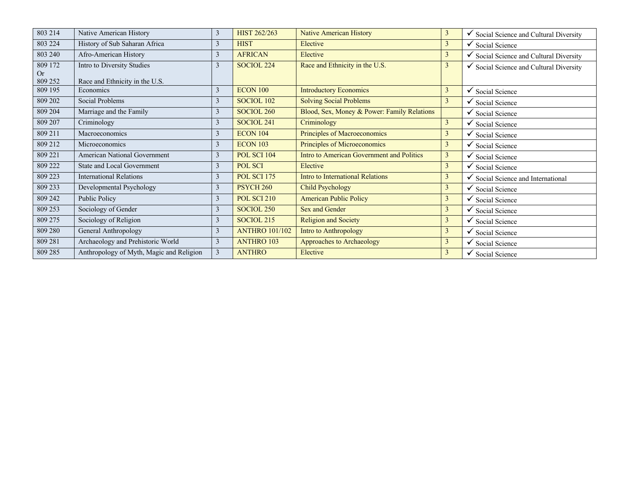| 803 214       | Native American History                  | 3              | <b>HIST 262/263</b>   | <b>Native American History</b>              | 3              | $\checkmark$ Social Science and Cultural Diversity |
|---------------|------------------------------------------|----------------|-----------------------|---------------------------------------------|----------------|----------------------------------------------------|
| 803 224       | History of Sub Saharan Africa            | $\overline{3}$ | <b>HIST</b>           | Elective                                    | $\mathbf{3}$   | $\checkmark$ Social Science                        |
| 803 240       | Afro-American History                    | $\mathfrak{Z}$ | <b>AFRICAN</b>        | Elective                                    | $\overline{3}$ | Social Science and Cultural Diversity<br>✔         |
| 809 172       | Intro to Diversity Studies               | $\mathfrak{Z}$ | SOCIOL <sub>224</sub> | Race and Ethnicity in the U.S.              | 3              | $\checkmark$ Social Science and Cultural Diversity |
| Or<br>809 252 | Race and Ethnicity in the U.S.           |                |                       |                                             |                |                                                    |
| 809 195       | Economics                                | $\overline{3}$ | <b>ECON 100</b>       | <b>Introductory Economics</b>               | 3              | Social Science<br>✓                                |
| 809 202       | Social Problems                          | $\mathfrak{Z}$ | SOCIOL 102            | <b>Solving Social Problems</b>              | 3              | Social Science                                     |
| 809 204       | Marriage and the Family                  | $\overline{3}$ | SOCIOL <sub>260</sub> | Blood, Sex, Money & Power: Family Relations |                | $\checkmark$ Social Science                        |
| 809 207       | Criminology                              | $\mathfrak{Z}$ | SOCIOL 241            | Criminology                                 | $\mathbf{3}$   | $\checkmark$ Social Science                        |
| 809 211       | Macroeconomics                           | $\overline{3}$ | <b>ECON 104</b>       | Principles of Macroeconomics                | $\overline{3}$ | $\checkmark$ Social Science                        |
| 809 212       | Microeconomics                           | $\mathfrak{Z}$ | <b>ECON 103</b>       | Principles of Microeconomics                | $\mathfrak{Z}$ | $\checkmark$ Social Science                        |
| 809 221       | <b>American National Government</b>      | $\overline{3}$ | <b>POL SCI 104</b>    | Intro to American Government and Politics   | 3              | $\checkmark$ Social Science                        |
| 809 222       | <b>State and Local Government</b>        | 3              | POL SCI               | Elective                                    | 3              | $\checkmark$ Social Science                        |
| 809 223       | <b>International Relations</b>           | 3              | <b>POL SCI 175</b>    | Intro to International Relations            | 3              | Social Science and International<br>✓              |
| 809 233       | Developmental Psychology                 | $\overline{3}$ | <b>PSYCH 260</b>      | <b>Child Psychology</b>                     | $\mathbf{3}$   | $\checkmark$ Social Science                        |
| 809 242       | Public Policy                            | $\overline{3}$ | <b>POL SCI 210</b>    | <b>American Public Policy</b>               | $\mathbf{3}$   | $\checkmark$ Social Science                        |
| 809 253       | Sociology of Gender                      | $\overline{3}$ | SOCIOL <sub>250</sub> | Sex and Gender                              | $\mathbf{3}$   | $\checkmark$ Social Science                        |
| 809 275       | Sociology of Religion                    | $\mathfrak{Z}$ | SOCIOL <sub>215</sub> | <b>Religion and Society</b>                 | 3              | $\checkmark$ Social Science                        |
| 809 280       | General Anthropology                     | 3              | <b>ANTHRO 101/102</b> | Intro to Anthropology                       | $\mathbf{3}$   | $\checkmark$ Social Science                        |
| 809 281       | Archaeology and Prehistoric World        | $\overline{3}$ | <b>ANTHRO 103</b>     | Approaches to Archaeology                   | $\overline{3}$ | $\checkmark$ Social Science                        |
| 809 285       | Anthropology of Myth, Magic and Religion | $\mathbf{3}$   | <b>ANTHRO</b>         | Elective                                    | $\mathbf{3}$   | $\checkmark$ Social Science                        |